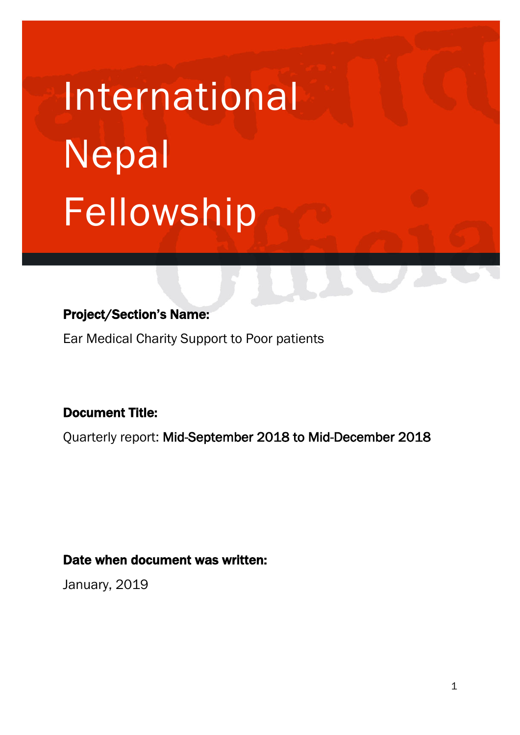# International Nepal Fellowship

# Project/Section's Name:

Ear Medical Charity Support to Poor patients

# Document Title:

Quarterly report: Mid-September 2018 to Mid-December 2018

# Date when document was written:

January, 2019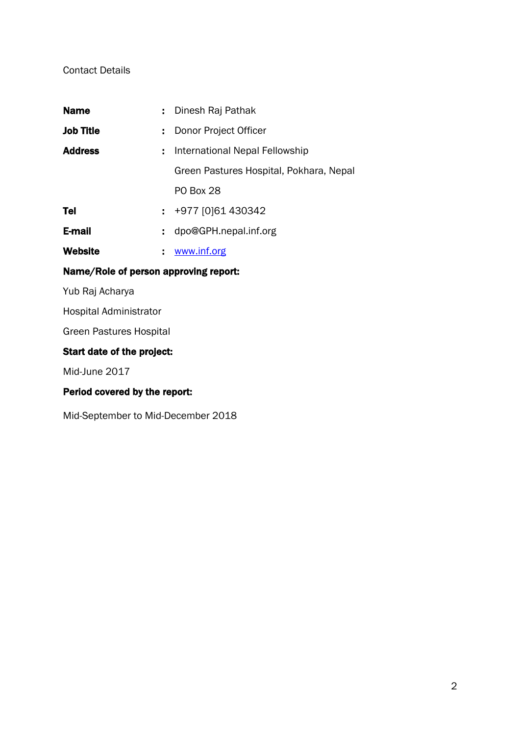#### Contact Details

| <b>Name</b>      | ÷. | Dinesh Raj Pathak                       |
|------------------|----|-----------------------------------------|
| <b>Job Title</b> | ÷. | Donor Project Officer                   |
| <b>Address</b>   | t. | International Nepal Fellowship          |
|                  |    | Green Pastures Hospital, Pokhara, Nepal |
|                  |    | <b>PO Box 28</b>                        |
| Tel              |    | : +977 [0]61 430342                     |
| E-mail           | ÷. | dpo@GPH.nepal.inf.org                   |
| <b>Website</b>   |    | www.inf.org                             |
|                  |    |                                         |

## Name/Role of person approving report:

Yub Raj Acharya

Hospital Administrator

Green Pastures Hospital

## Start date of the project:

Mid-June 2017

## Period covered by the report:

Mid-September to Mid-December 2018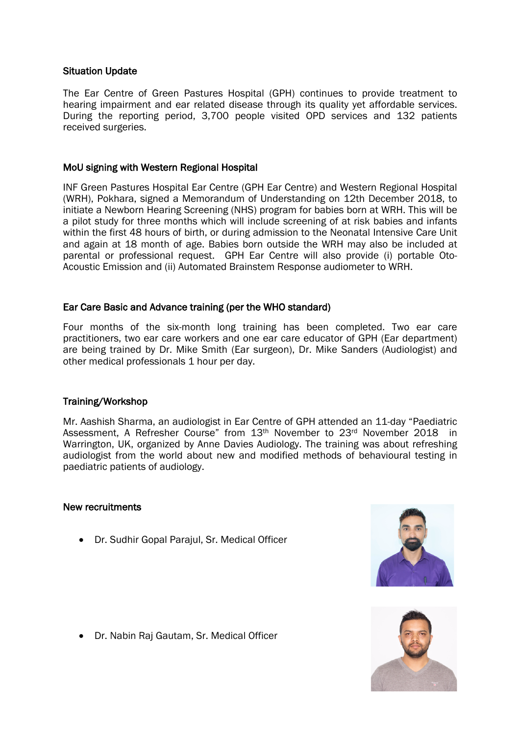#### Situation Update

The Ear Centre of Green Pastures Hospital (GPH) continues to provide treatment to hearing impairment and ear related disease through its quality yet affordable services. During the reporting period, 3,700 people visited OPD services and 132 patients received surgeries.

#### MoU signing with Western Regional Hospital

INF Green Pastures Hospital Ear Centre (GPH Ear Centre) and Western Regional Hospital (WRH), Pokhara, signed a Memorandum of Understanding on 12th December 2018, to initiate a Newborn Hearing Screening (NHS) program for babies born at WRH. This will be a pilot study for three months which will include screening of at risk babies and infants within the first 48 hours of birth, or during admission to the Neonatal Intensive Care Unit and again at 18 month of age. Babies born outside the WRH may also be included at parental or professional request. GPH Ear Centre will also provide (i) portable Oto-Acoustic Emission and (ii) Automated Brainstem Response audiometer to WRH.

#### Ear Care Basic and Advance training (per the WHO standard)

Four months of the six-month long training has been completed. Two ear care practitioners, two ear care workers and one ear care educator of GPH (Ear department) are being trained by Dr. Mike Smith (Ear surgeon), Dr. Mike Sanders (Audiologist) and other medical professionals 1 hour per day.

#### Training/Workshop

Mr. Aashish Sharma, an audiologist in Ear Centre of GPH attended an 11-day "Paediatric Assessment, A Refresher Course" from 13<sup>th</sup> November to 23<sup>rd</sup> November 2018 in Warrington, UK, organized by Anne Davies Audiology. The training was about refreshing audiologist from the world about new and modified methods of behavioural testing in paediatric patients of audiology.

#### New recruitments

• Dr. Sudhir Gopal Parajul, Sr. Medical Officer





• Dr. Nabin Raj Gautam, Sr. Medical Officer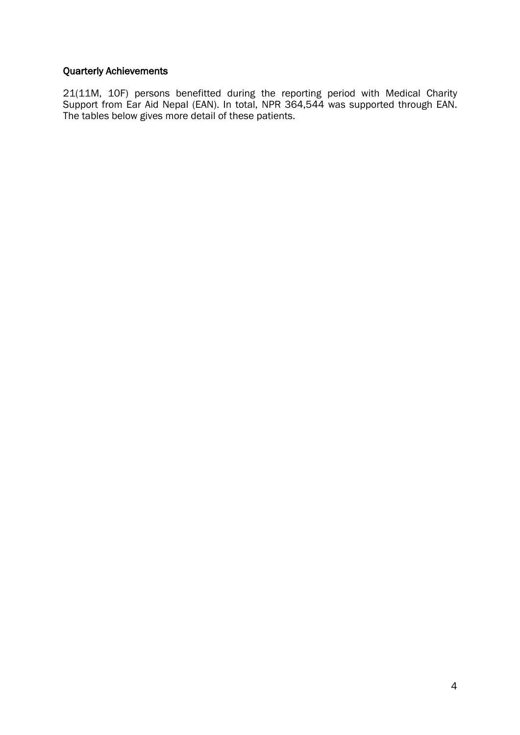#### Quarterly Achievements

21(11M, 10F) persons benefitted during the reporting period with Medical Charity Support from Ear Aid Nepal (EAN). In total, NPR 364,544 was supported through EAN. The tables below gives more detail of these patients.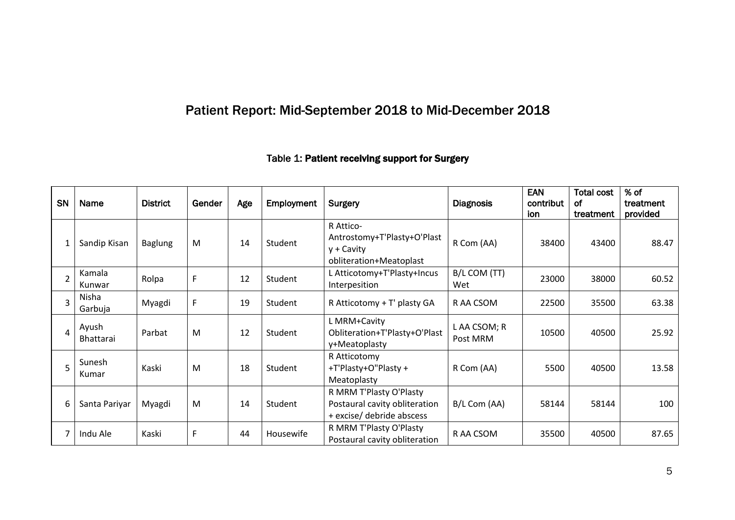# Patient Report: Mid-September 2018 to Mid-December 2018

# Table 1: Patient receiving support for Surgery

| SN             | Name                      | <b>District</b> | Gender | Age | Employment | Surgery                                                                               | <b>Diagnosis</b>         | <b>EAN</b><br><b>Total cost</b><br>contribut<br>0f<br>treatment<br>ion |       | % of<br>treatment<br>provided |
|----------------|---------------------------|-----------------|--------|-----|------------|---------------------------------------------------------------------------------------|--------------------------|------------------------------------------------------------------------|-------|-------------------------------|
|                | Sandip Kisan              | <b>Baglung</b>  | M      | 14  | Student    | R Attico-<br>Antrostomy+T'Plasty+O'Plast<br>$y + Cavity$<br>obliteration+Meatoplast   | R Com (AA)               | 38400                                                                  | 43400 | 88.47                         |
| $\overline{2}$ | Kamala<br>Kunwar          | Rolpa           | F      | 12  | Student    | L Atticotomy+T'Plasty+Incus<br>Interpesition                                          | B/L COM (TT)<br>Wet      | 23000                                                                  | 38000 | 60.52                         |
| 3              | Nisha<br>Garbuja          | Myagdi          | F      | 19  | Student    | R Atticotomy + T' plasty GA                                                           | R AA CSOM                | 22500                                                                  | 35500 | 63.38                         |
| 4              | Ayush<br><b>Bhattarai</b> | Parbat          | M      | 12  | Student    | L MRM+Cavity<br>Obliteration+T'Plasty+O'Plast<br>y+Meatoplasty                        | L AA CSOM; R<br>Post MRM | 10500                                                                  | 40500 | 25.92                         |
| 5              | Sunesh<br>Kumar           | Kaski           | M      | 18  | Student    | R Atticotomy<br>+T'Plasty+O"Plasty +<br>Meatoplasty                                   | R Com (AA)               | 5500                                                                   | 40500 | 13.58                         |
| 6              | Santa Pariyar             | Myagdi          | M      | 14  | Student    | R MRM T'Plasty O'Plasty<br>Postaural cavity obliteration<br>+ excise/ debride abscess | B/L Com (AA)             | 58144                                                                  | 58144 | 100                           |
|                | Indu Ale                  | Kaski           | F      | 44  | Housewife  | R MRM T'Plasty O'Plasty<br>Postaural cavity obliteration                              | R AA CSOM                | 35500                                                                  | 40500 | 87.65                         |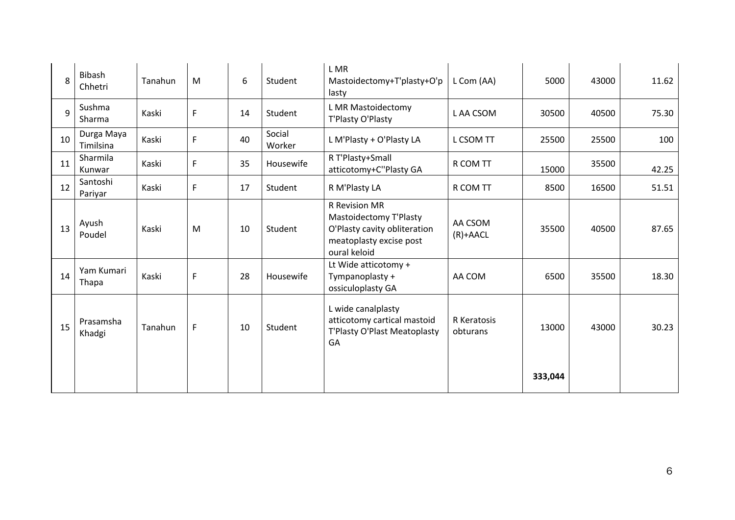| 8  | Bibash<br>Chhetri       | Tanahun | M | 6  | Student          | L MR<br>Mastoidectomy+T'plasty+O'p<br>lasty                                                                        | L Com (AA)              | 5000    | 43000 | 11.62 |
|----|-------------------------|---------|---|----|------------------|--------------------------------------------------------------------------------------------------------------------|-------------------------|---------|-------|-------|
| 9  | Sushma<br>Sharma        | Kaski   | F | 14 | Student          | L MR Mastoidectomy<br>T'Plasty O'Plasty                                                                            | L AA CSOM               | 30500   | 40500 | 75.30 |
| 10 | Durga Maya<br>Timilsina | Kaski   | F | 40 | Social<br>Worker | L M'Plasty + O'Plasty LA                                                                                           | L CSOM TT               | 25500   | 25500 | 100   |
| 11 | Sharmila<br>Kunwar      | Kaski   | F | 35 | Housewife        | R T'Plasty+Small<br>atticotomy+C"Plasty GA                                                                         | R COM TT                | 15000   | 35500 | 42.25 |
| 12 | Santoshi<br>Pariyar     | Kaski   | F | 17 | Student          | R M'Plasty LA                                                                                                      | R COM TT                | 8500    | 16500 | 51.51 |
| 13 | Ayush<br>Poudel         | Kaski   | M | 10 | Student          | R Revision MR<br>Mastoidectomy T'Plasty<br>O'Plasty cavity obliteration<br>meatoplasty excise post<br>oural keloid | AA CSOM<br>$(R)+AACL$   | 35500   | 40500 | 87.65 |
| 14 | Yam Kumari<br>Thapa     | Kaski   | F | 28 | Housewife        | Lt Wide atticotomy +<br>Tympanoplasty +<br>ossiculoplasty GA                                                       | AA COM                  | 6500    | 35500 | 18.30 |
| 15 | Prasamsha<br>Khadgi     | Tanahun | F | 10 | Student          | L wide canalplasty<br>atticotomy cartical mastoid<br>T'Plasty O'Plast Meatoplasty<br>GA                            | R Keratosis<br>obturans | 13000   | 43000 | 30.23 |
|    |                         |         |   |    |                  |                                                                                                                    |                         | 333,044 |       |       |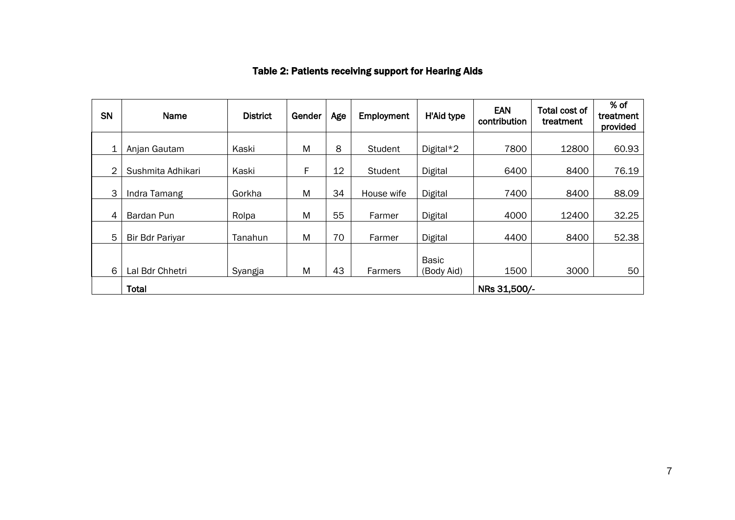| SN | Name                   | <b>District</b> | Gender | Age | Employment     | H'Aid type                 | <b>EAN</b><br>contribution | Total cost of<br>treatment | % of<br>treatment<br>provided |
|----|------------------------|-----------------|--------|-----|----------------|----------------------------|----------------------------|----------------------------|-------------------------------|
| 1  | Anjan Gautam           | Kaski           | M      | 8   | Student        | Digital*2                  | 7800                       | 12800                      | 60.93                         |
| 2  | Sushmita Adhikari      | Kaski           | F      | 12  | <b>Student</b> | Digital                    | 6400                       | 8400                       | 76.19                         |
| 3  | Indra Tamang           | Gorkha          | M      | 34  | House wife     | Digital                    | 7400                       | 8400                       | 88.09                         |
| 4  | Bardan Pun             | Rolpa           | M      | 55  | Farmer         | Digital                    | 4000                       | 12400                      | 32.25                         |
| 5  | <b>Bir Bdr Pariyar</b> | Tanahun         | M      | 70  | Farmer         | Digital                    | 4400                       | 8400                       | 52.38                         |
| 6  | Lal Bdr Chhetri        | Syangja         | M      | 43  | Farmers        | <b>Basic</b><br>(Body Aid) | 1500                       | 3000                       | 50                            |
|    | Total                  |                 |        |     |                |                            | NRs 31,500/-               |                            |                               |

# Table 2: Patients receiving support for Hearing Aids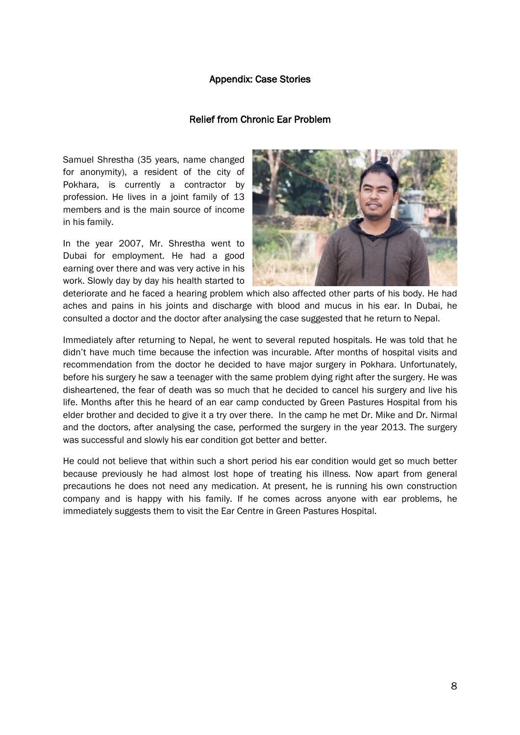#### Appendix: Case Stories

#### Relief from Chronic Ear Problem

Samuel Shrestha (35 years, name changed for anonymity), a resident of the city of Pokhara, is currently a contractor by profession. He lives in a joint family of 13 members and is the main source of income in his family.

In the year 2007, Mr. Shrestha went to Dubai for employment. He had a good earning over there and was very active in his work. Slowly day by day his health started to



deteriorate and he faced a hearing problem which also affected other parts of his body. He had aches and pains in his joints and discharge with blood and mucus in his ear. In Dubai, he consulted a doctor and the doctor after analysing the case suggested that he return to Nepal.

Immediately after returning to Nepal, he went to several reputed hospitals. He was told that he didn't have much time because the infection was incurable. After months of hospital visits and recommendation from the doctor he decided to have major surgery in Pokhara. Unfortunately, before his surgery he saw a teenager with the same problem dying right after the surgery. He was disheartened, the fear of death was so much that he decided to cancel his surgery and live his life. Months after this he heard of an ear camp conducted by Green Pastures Hospital from his elder brother and decided to give it a try over there. In the camp he met Dr. Mike and Dr. Nirmal and the doctors, after analysing the case, performed the surgery in the year 2013. The surgery was successful and slowly his ear condition got better and better.

He could not believe that within such a short period his ear condition would get so much better because previously he had almost lost hope of treating his illness. Now apart from general precautions he does not need any medication. At present, he is running his own construction company and is happy with his family. If he comes across anyone with ear problems, he immediately suggests them to visit the Ear Centre in Green Pastures Hospital.